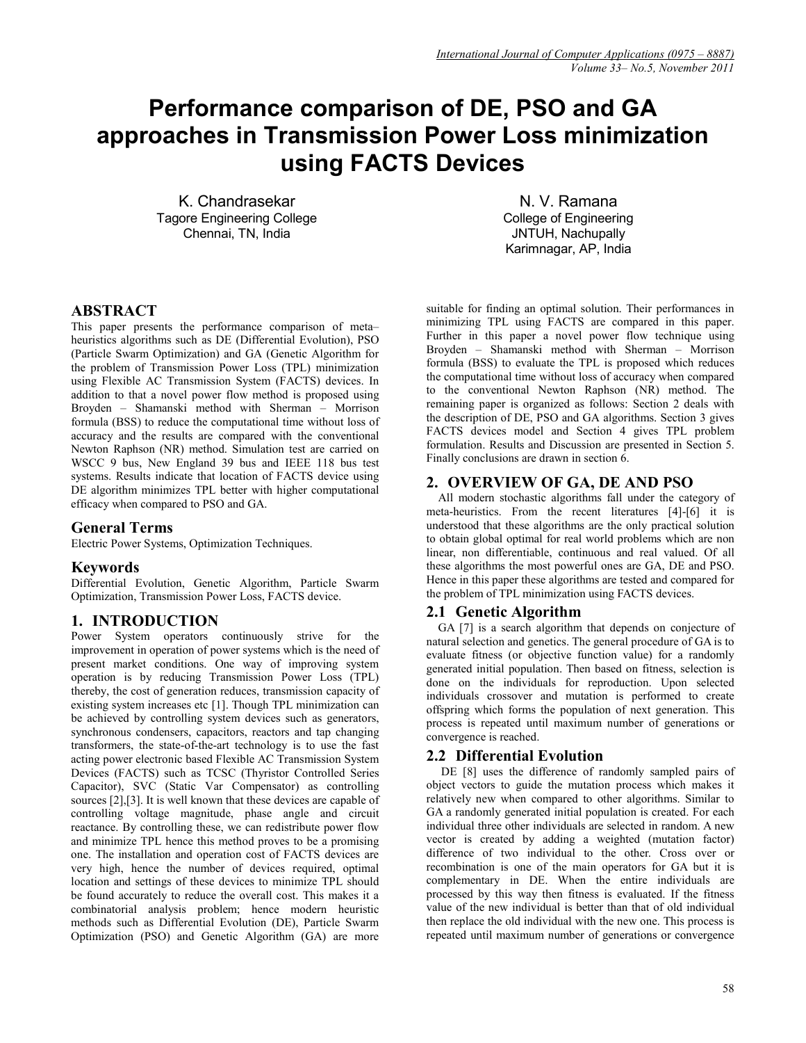# **Performance comparison of DE, PSO and GA approaches in Transmission Power Loss minimization using FACTS Devices**

K. Chandrasekar Tagore Engineering College Chennai, TN, India

N. V. Ramana College of Engineering JNTUH, Nachupally Karimnagar, AP, India

# **ABSTRACT**

This paper presents the performance comparison of meta– heuristics algorithms such as DE (Differential Evolution), PSO (Particle Swarm Optimization) and GA (Genetic Algorithm for the problem of Transmission Power Loss (TPL) minimization using Flexible AC Transmission System (FACTS) devices. In addition to that a novel power flow method is proposed using Broyden – Shamanski method with Sherman – Morrison formula (BSS) to reduce the computational time without loss of accuracy and the results are compared with the conventional Newton Raphson (NR) method. Simulation test are carried on WSCC 9 bus, New England 39 bus and IEEE 118 bus test systems. Results indicate that location of FACTS device using DE algorithm minimizes TPL better with higher computational efficacy when compared to PSO and GA.

# **General Terms**

Electric Power Systems, Optimization Techniques.

# **Keywords**

Differential Evolution, Genetic Algorithm, Particle Swarm Optimization, Transmission Power Loss, FACTS device.

# **1. INTRODUCTION**

Power System operators continuously strive for the improvement in operation of power systems which is the need of present market conditions. One way of improving system operation is by reducing Transmission Power Loss (TPL) thereby, the cost of generation reduces, transmission capacity of existing system increases etc [1]. Though TPL minimization can be achieved by controlling system devices such as generators, synchronous condensers, capacitors, reactors and tap changing transformers, the state-of-the-art technology is to use the fast acting power electronic based Flexible AC Transmission System Devices (FACTS) such as TCSC (Thyristor Controlled Series Capacitor), SVC (Static Var Compensator) as controlling sources [2],[3]. It is well known that these devices are capable of controlling voltage magnitude, phase angle and circuit reactance. By controlling these, we can redistribute power flow and minimize TPL hence this method proves to be a promising one. The installation and operation cost of FACTS devices are very high, hence the number of devices required, optimal location and settings of these devices to minimize TPL should be found accurately to reduce the overall cost. This makes it a combinatorial analysis problem; hence modern heuristic methods such as Differential Evolution (DE), Particle Swarm Optimization (PSO) and Genetic Algorithm (GA) are more

suitable for finding an optimal solution. Their performances in minimizing TPL using FACTS are compared in this paper. Further in this paper a novel power flow technique using Broyden – Shamanski method with Sherman – Morrison formula (BSS) to evaluate the TPL is proposed which reduces the computational time without loss of accuracy when compared to the conventional Newton Raphson (NR) method. The remaining paper is organized as follows: Section 2 deals with the description of DE, PSO and GA algorithms. Section 3 gives FACTS devices model and Section 4 gives TPL problem formulation. Results and Discussion are presented in Section 5. Finally conclusions are drawn in section  $\overline{6}$ .

# **2. OVERVIEW OF GA, DE AND PSO**

All modern stochastic algorithms fall under the category of meta-heuristics. From the recent literatures [4]-[6] it is understood that these algorithms are the only practical solution to obtain global optimal for real world problems which are non linear, non differentiable, continuous and real valued. Of all these algorithms the most powerful ones are GA, DE and PSO. Hence in this paper these algorithms are tested and compared for the problem of TPL minimization using FACTS devices.

# **2.1 Genetic Algorithm**

GA [7] is a search algorithm that depends on conjecture of natural selection and genetics. The general procedure of GA is to evaluate fitness (or objective function value) for a randomly generated initial population. Then based on fitness, selection is done on the individuals for reproduction. Upon selected individuals crossover and mutation is performed to create offspring which forms the population of next generation. This process is repeated until maximum number of generations or convergence is reached.

# **2.2 Differential Evolution**

DE [8] uses the difference of randomly sampled pairs of object vectors to guide the mutation process which makes it relatively new when compared to other algorithms. Similar to GA a randomly generated initial population is created. For each individual three other individuals are selected in random. A new vector is created by adding a weighted (mutation factor) difference of two individual to the other. Cross over or recombination is one of the main operators for GA but it is complementary in DE. When the entire individuals are processed by this way then fitness is evaluated. If the fitness value of the new individual is better than that of old individual then replace the old individual with the new one. This process is repeated until maximum number of generations or convergence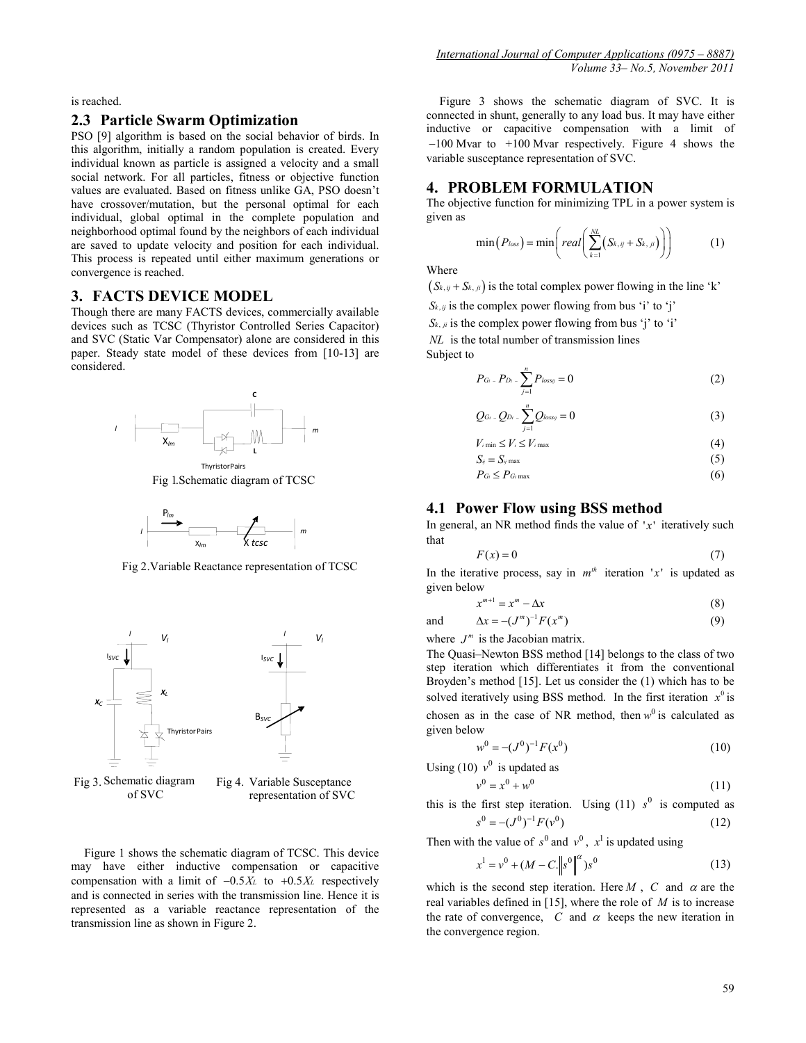is reached.

#### **2.3 Particle Swarm Optimization**

PSO [9] algorithm is based on the social behavior of birds. In this algorithm, initially a random population is created. Every individual known as particle is assigned a velocity and a small social network. For all particles, fitness or objective function values are evaluated. Based on fitness unlike GA, PSO doesn't have crossover/mutation, but the personal optimal for each individual, global optimal in the complete population and neighborhood optimal found by the neighbors of each individual are saved to update velocity and position for each individual. This process is repeated until either maximum generations or convergence is reached.

# **3. FACTS DEVICE MODEL**

Though there are many FACTS devices, commercially available devices such as TCSC (Thyristor Controlled Series Capacitor) and SVC (Static Var Compensator) alone are considered in this paper. Steady state model of these devices from [10-13] are considered.



Fig 1.Schematic diagram of TCSC



Fig 2.Variable Reactance representation of TCSC



Fig 3. Schematic diagram of SVC Fig 4. Variable Susceptance representation of SVC

Figure 1 shows the schematic diagram of TCSC. This device may have either inductive compensation or capacitive compensation with a limit of −0.5*XL* to +0.5*XL* respectively and is connected in series with the transmission line. Hence it is represented as a variable reactance representation of the transmission line as shown in Figure 2.

Figure 3 shows the schematic diagram of SVC. It is connected in shunt, generally to any load bus. It may have either inductive or capacitive compensation with a limit of −100 Mvar to +100 Mvar respectively. Figure 4 shows the variable susceptance representation of SVC.

## **4. PROBLEM FORMULATION**

The objective function for minimizing TPL in a power system is given as

$$
\min(P_{loss}) = \min\left(\text{real}\left(\sum_{k=1}^{N_L} (S_{k,ij} + S_{k,ji})\right)\right) \tag{1}
$$

Where

 $(S_{k, ij} + S_{k, ji})$  is the total complex power flowing in the line 'k'

 $S_{k,ij}$  is the complex power flowing from bus 'i' to 'j'

 $S_{k,ji}$  is the complex power flowing from bus 'j' to 'i'

*NL* is the total number of transmission lines

Subject to

$$
P_{Gi} - P_{Di} - \sum_{j=1}^{n} P_{lossy} = 0 \tag{2}
$$

$$
Q_{Gi} - Q_{Di} - \sum_{j=1}^{n} Q_{lossy} = 0
$$
\n(3)

$$
V_{i \min} \le V_i \le V_{i \max} \tag{4}
$$

$$
S_{ij} = S_{ij} \max \tag{5}
$$

$$
P_{Gi} \leq P_{Gi \max} \tag{6}
$$

# **4.1 Power Flow using BSS method**

In general, an NR method finds the value of  $x'$  iteratively such that

$$
F(x) = 0 \tag{7}
$$

In the iterative process, say in  $m^{th}$  iteration 'x' is updated as given below

$$
x^{m+1} = x^m - \Delta x \tag{8}
$$

and 
$$
\Delta x = -(J^m)^{-1} F(x^m)
$$
 (9)

where  $J^m$  is the Jacobian matrix.

The Quasi–Newton BSS method [14] belongs to the class of two step iteration which differentiates it from the conventional Broyden's method [15]. Let us consider the (1) which has to be solved iteratively using BSS method. In the first iteration  $x^0$  is chosen as in the case of NR method, then  $w^0$  is calculated as given below

$$
w^0 = -(J^0)^{-1} F(x^0)
$$
 (10)

Using (10)  $v^0$  is updated as

$$
v^0 = x^0 + w^0 \tag{11}
$$

this is the first step iteration. Using  $(11)$   $s^0$  is computed as  $s^{0} = -(J^{0})^{-1}F(v^{0})$  (12)

Then with the value of  $s^0$  and  $v^0$ ,  $x^1$  is updated using

$$
x^{1} = v^{0} + (M - C \|\mathbf{s}^{0}\|^{2})\mathbf{s}^{0}
$$
 (13)

which is the second step iteration. Here  $M$ ,  $C$  and  $\alpha$  are the real variables defined in [15], where the role of *M* is to increase the rate of convergence,  $C$  and  $\alpha$  keeps the new iteration in the convergence region.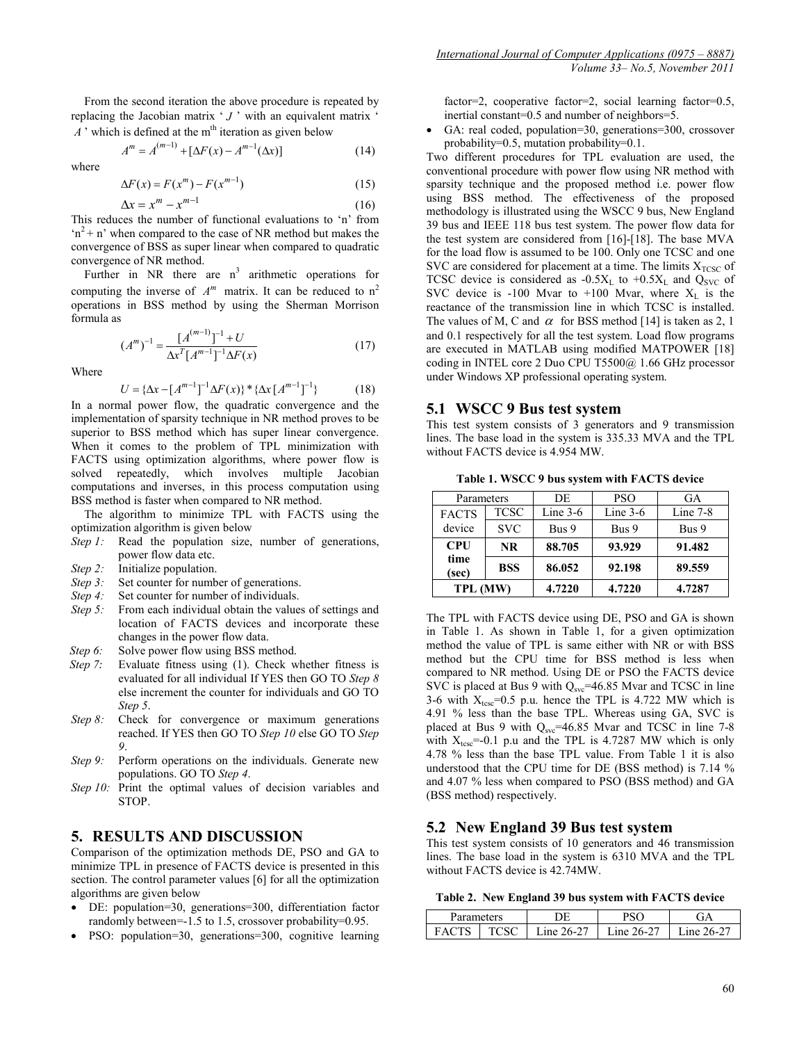From the second iteration the above procedure is repeated by replacing the Jacobian matrix  $' J'$  with an equivalent matrix  $'$  $\overrightarrow{A}$  ' which is defined at the m<sup>th</sup> iteration as given below

 $A^m = A^{(m-1)} + [\Delta F(x) - A^{m-1}(\Delta x)]$  (14)

where

$$
\Delta F(x) = F(x^m) - F(x^{m-1})\tag{15}
$$

$$
\Delta x = x^m - x^{m-1} \tag{16}
$$

This reduces the number of functional evaluations to 'n' from  $n^2 + n'$  when compared to the case of NR method but makes the convergence of BSS as super linear when compared to quadratic convergence of NR method.

Further in NR there are  $n<sup>3</sup>$  arithmetic operations for computing the inverse of  $A^m$  matrix. It can be reduced to  $n^2$ operations in BSS method by using the Sherman Morrison formula as

$$
(Am)-1 = \frac{[A(m-1)]^{-1} + U}{\Delta xT [Am-1]^{-1} \Delta F(x)}
$$
(17)

Where

$$
U = \{ \Delta x - [A^{m-1}]^{-1} \Delta F(x) \} \ast \{ \Delta x [A^{m-1}]^{-1} \}
$$
 (18)

In a normal power flow, the quadratic convergence and the implementation of sparsity technique in NR method proves to be superior to BSS method which has super linear convergence. When it comes to the problem of TPL minimization with FACTS using optimization algorithms, where power flow is solved repeatedly, which involves multiple Jacobian computations and inverses, in this process computation using BSS method is faster when compared to NR method.

The algorithm to minimize TPL with FACTS using the optimization algorithm is given below

- *Step 1:* Read the population size, number of generations, power flow data etc.
- *Step 2:* Initialize population.
- *Step 3:* Set counter for number of generations.<br>*Step 4:* Set counter for number of individuals.
- *Step 4:* Set counter for number of individuals.<br>*Step 5:* From each individual obtain the value
- From each individual obtain the values of settings and location of FACTS devices and incorporate these changes in the power flow data.
- *Step 6:* Solve power flow using BSS method.
- *Step 7:* Evaluate fitness using (1). Check whether fitness is evaluated for all individual If YES then GO TO *Step 8* else increment the counter for individuals and GO TO *Step 5*.
- *Step 8:* Check for convergence or maximum generations reached. If YES then GO TO *Step 10* else GO TO *Step 9*.
- *Step 9:* Perform operations on the individuals. Generate new populations. GO TO *Step 4*.
- *Step 10:* Print the optimal values of decision variables and STOP.

## **5. RESULTS AND DISCUSSION**

Comparison of the optimization methods DE, PSO and GA to minimize TPL in presence of FACTS device is presented in this section. The control parameter values [6] for all the optimization algorithms are given below

- DE: population=30, generations=300, differentiation factor randomly between=-1.5 to 1.5, crossover probability=0.95.
- PSO: population=30, generations=300, cognitive learning

factor=2, cooperative factor=2, social learning factor=0.5, inertial constant=0.5 and number of neighbors=5.

• GA: real coded, population=30, generations=300, crossover probability=0.5, mutation probability=0.1.

Two different procedures for TPL evaluation are used, the conventional procedure with power flow using NR method with sparsity technique and the proposed method i.e. power flow using BSS method. The effectiveness of the proposed methodology is illustrated using the WSCC 9 bus, New England 39 bus and IEEE 118 bus test system. The power flow data for the test system are considered from [16]-[18]. The base MVA for the load flow is assumed to be 100. Only one TCSC and one SVC are considered for placement at a time. The limits  $X<sub>TCSC</sub>$  of TCSC device is considered as  $-0.5X_L$  to  $+0.5X_L$  and  $Q_{SVC}$  of SVC device is -100 Mvar to +100 Mvar, where  $X_L$  is the reactance of the transmission line in which TCSC is installed. The values of M, C and  $\alpha$  for BSS method [14] is taken as 2, 1 and 0.1 respectively for all the test system. Load flow programs are executed in MATLAB using modified MATPOWER [18] coding in INTEL core 2 Duo CPU T5500@ 1.66 GHz processor under Windows XP professional operating system.

## **5.1 WSCC 9 Bus test system**

This test system consists of 3 generators and 9 transmission lines. The base load in the system is 335.33 MVA and the TPL without FACTS device is 4.954 MW.

**Table 1. WSCC 9 bus system with FACTS device**

| Parameters    |             | DE         | <b>PSO</b> | GA         |
|---------------|-------------|------------|------------|------------|
| <b>FACTS</b>  | <b>TCSC</b> | Line $3-6$ | Line $3-6$ | Line $7-8$ |
| device        | <b>SVC</b>  | Bus 9      | Bus 9      | Bus 9      |
| <b>CPU</b>    | <b>NR</b>   | 88.705     | 93.929     | 91.482     |
| time<br>(sec) | <b>BSS</b>  | 86.052     | 92.198     | 89.559     |
| TPL (MW)      |             | 4.7220     | 4.7220     | 4.7287     |

The TPL with FACTS device using DE, PSO and GA is shown in Table 1. As shown in Table 1, for a given optimization method the value of TPL is same either with NR or with BSS method but the CPU time for BSS method is less when compared to NR method. Using DE or PSO the FACTS device SVC is placed at Bus 9 with  $Q_{\text{syc}}$ =46.85 Mvar and TCSC in line 3-6 with  $X_{t\text{csc}}=0.5$  p.u. hence the TPL is 4.722 MW which is 4.91 % less than the base TPL. Whereas using GA, SVC is placed at Bus 9 with  $Q<sub>src</sub>=46.85$  Mvar and TCSC in line 7-8 with  $X_{tsc} = -0.1$  p.u and the TPL is 4.7287 MW which is only 4.78 % less than the base TPL value. From Table 1 it is also understood that the CPU time for DE (BSS method) is 7.14 % and 4.07 % less when compared to PSO (BSS method) and GA (BSS method) respectively.

#### **5.2 New England 39 Bus test system**

This test system consists of 10 generators and 46 transmission lines. The base load in the system is 6310 MVA and the TPL without FACTS device is 42.74MW.

**Table 2. New England 39 bus system with FACTS device**

| Parameters |  |                     |                     |                     |
|------------|--|---------------------|---------------------|---------------------|
| Δ(         |  | $26-27$<br>$1n\rho$ | $26-27$<br>$1n\rho$ | $16-27$<br>$1n\rho$ |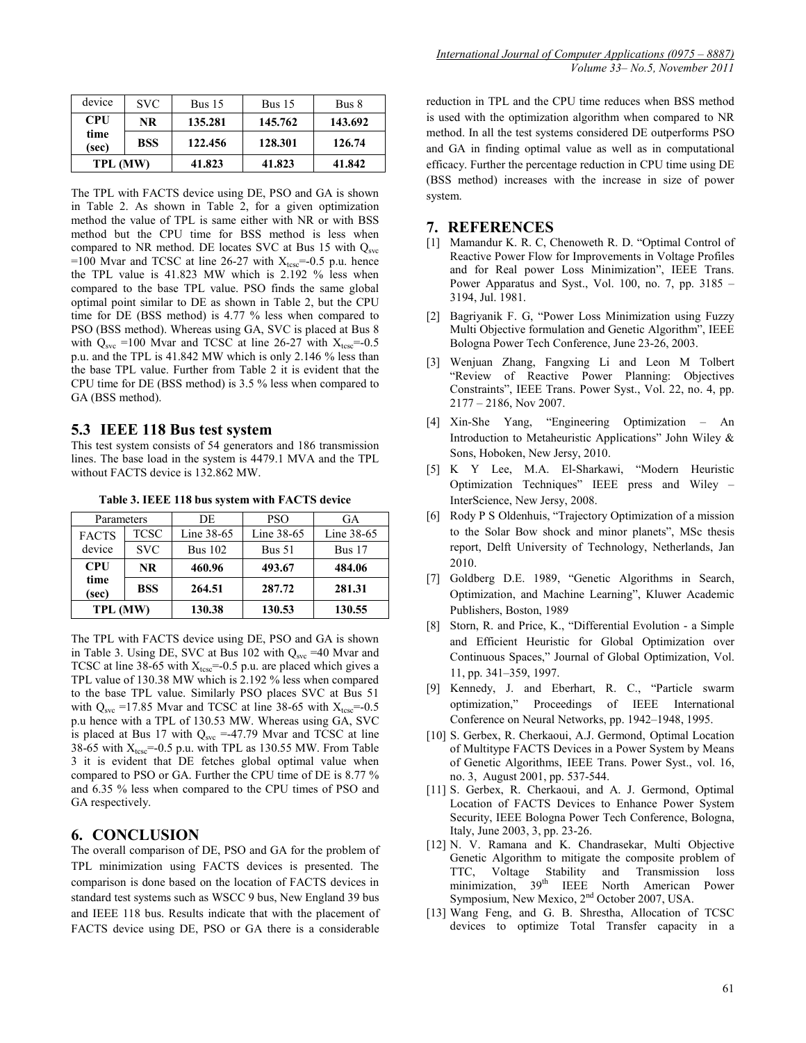| device        | <b>SVC</b> | Bus $15$ | Bus $15$ | Bus 8   |
|---------------|------------|----------|----------|---------|
| <b>CPU</b>    | NR.        | 135.281  | 145.762  | 143.692 |
| time<br>(sec) | <b>BSS</b> | 122.456  | 128.301  | 126.74  |
| TPL (MW)      |            | 41.823   | 41.823   | 41.842  |

The TPL with FACTS device using DE, PSO and GA is shown in Table 2. As shown in Table 2, for a given optimization method the value of TPL is same either with NR or with BSS method but the CPU time for BSS method is less when compared to NR method. DE locates SVC at Bus 15 with  $Q_{\text{svc}}$ =100 Mvar and TCSC at line 26-27 with  $X_{t\text{csc}}$ =-0.5 p.u. hence the TPL value is 41.823 MW which is 2.192 % less when compared to the base TPL value. PSO finds the same global optimal point similar to DE as shown in Table 2, but the CPU time for DE (BSS method) is 4.77 % less when compared to PSO (BSS method). Whereas using GA, SVC is placed at Bus 8 with  $Q_{\text{syc}}$  =100 Mvar and TCSC at line 26-27 with  $X_{\text{tesc}}$ =-0.5 p.u. and the TPL is 41.842 MW which is only 2.146 % less than the base TPL value. Further from Table 2 it is evident that the CPU time for DE (BSS method) is 3.5 % less when compared to GA (BSS method).

#### **5.3 IEEE 118 Bus test system**

This test system consists of 54 generators and 186 transmission lines. The base load in the system is 4479.1 MVA and the TPL without FACTS device is 132.862 MW.

| Parameters                  |             | DE             | <b>PSO</b> | GA         |
|-----------------------------|-------------|----------------|------------|------------|
| <b>FACTS</b>                | <b>TCSC</b> | Line 38-65     | Line 38-65 | Line 38-65 |
| device                      | <b>SVC</b>  | <b>Bus 102</b> | Bus $51$   | Bus $17$   |
| <b>CPU</b><br>time<br>(sec) | <b>NR</b>   | 460.96         | 493.67     | 484.06     |
|                             | <b>BSS</b>  | 264.51         | 287.72     | 281.31     |
| TPL (MW)                    |             | 130.38         | 130.53     | 130.55     |

**Table 3. IEEE 118 bus system with FACTS device**

The TPL with FACTS device using DE, PSO and GA is shown in Table 3. Using DE, SVC at Bus 102 with  $Q_{\text{syc}} = 40$  Mvar and TCSC at line 38-65 with  $X_{t\text{csc}}$ =-0.5 p.u. are placed which gives a TPL value of 130.38 MW which is 2.192 % less when compared to the base TPL value. Similarly PSO places SVC at Bus 51 with  $Q_{\text{syc}}$  =17.85 Mvar and TCSC at line 38-65 with  $X_{\text{tesc}}$ =-0.5 p.u hence with a TPL of 130.53 MW. Whereas using GA, SVC is placed at Bus 17 with  $Q_{\text{syc}} = -47.79$  Mvar and TCSC at line 38-65 with  $X_{tcs}$ =-0.5 p.u. with TPL as 130.55 MW. From Table 3 it is evident that DE fetches global optimal value when compared to PSO or GA. Further the CPU time of DE is 8.77 % and 6.35 % less when compared to the CPU times of PSO and GA respectively.

### **6. CONCLUSION**

The overall comparison of DE, PSO and GA for the problem of TPL minimization using FACTS devices is presented. The comparison is done based on the location of FACTS devices in standard test systems such as WSCC 9 bus, New England 39 bus and IEEE 118 bus. Results indicate that with the placement of FACTS device using DE, PSO or GA there is a considerable

reduction in TPL and the CPU time reduces when BSS method is used with the optimization algorithm when compared to NR method. In all the test systems considered DE outperforms PSO and GA in finding optimal value as well as in computational efficacy. Further the percentage reduction in CPU time using DE (BSS method) increases with the increase in size of power system.

## **7. REFERENCES**

- [1] Mamandur K. R. C, Chenoweth R. D. "Optimal Control of Reactive Power Flow for Improvements in Voltage Profiles and for Real power Loss Minimization", IEEE Trans. Power Apparatus and Syst., Vol. 100, no. 7, pp. 3185 – 3194, Jul. 1981.
- [2] Bagriyanik F. G, "Power Loss Minimization using Fuzzy Multi Objective formulation and Genetic Algorithm", IEEE Bologna Power Tech Conference, June 23-26, 2003.
- [3] Wenjuan Zhang, Fangxing Li and Leon M Tolbert "Review of Reactive Power Planning: Objectives Constraints", IEEE Trans. Power Syst., Vol. 22, no. 4, pp. 2177 – 2186, Nov 2007.
- [4] Xin-She Yang, "Engineering Optimization An Introduction to Metaheuristic Applications" John Wiley & Sons, Hoboken, New Jersy, 2010.
- [5] K Y Lee, M.A. El-Sharkawi, "Modern Heuristic Optimization Techniques" IEEE press and Wiley – InterScience, New Jersy, 2008.
- [6] Rody P S Oldenhuis, "Trajectory Optimization of a mission to the Solar Bow shock and minor planets", MSc thesis report, Delft University of Technology, Netherlands, Jan 2010.
- [7] Goldberg D.E. 1989, "Genetic Algorithms in Search, Optimization, and Machine Learning", Kluwer Academic Publishers, Boston, 1989
- [8] Storn, R. and Price, K., "Differential Evolution a Simple and Efficient Heuristic for Global Optimization over Continuous Spaces," Journal of Global Optimization, Vol. 11, pp. 341–359, 1997.
- [9] Kennedy, J. and Eberhart, R. C., "Particle swarm optimization," Proceedings of IEEE International Conference on Neural Networks, pp. 1942–1948, 1995.
- [10] S. Gerbex, R. Cherkaoui, A.J. Germond, Optimal Location of Multitype FACTS Devices in a Power System by Means of Genetic Algorithms, IEEE Trans. Power Syst., vol. 16, no. 3, August 2001, pp. 537-544.
- [11] S. Gerbex, R. Cherkaoui, and A. J. Germond, Optimal Location of FACTS Devices to Enhance Power System Security, IEEE Bologna Power Tech Conference, Bologna, Italy, June 2003, 3, pp. 23-26.
- [12] N. V. Ramana and K. Chandrasekar, Multi Objective Genetic Algorithm to mitigate the composite problem of TTC, Voltage Stability and Transmission loss minimization, 39th IEEE North American Power Symposium, New Mexico, 2nd October 2007, USA.
- [13] Wang Feng, and G. B. Shrestha, Allocation of TCSC devices to optimize Total Transfer capacity in a